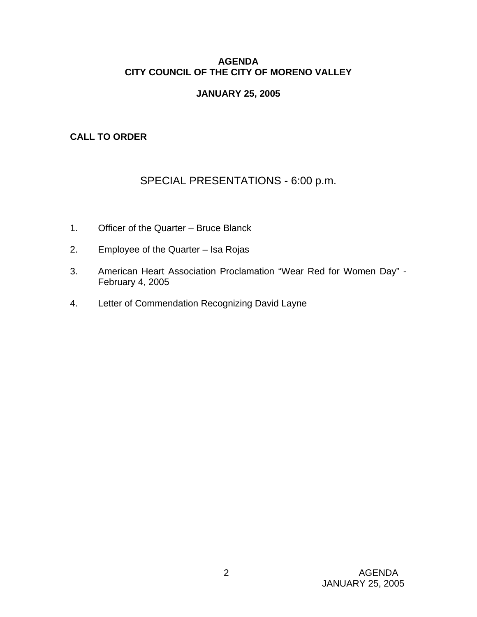## **AGENDA CITY COUNCIL OF THE CITY OF MORENO VALLEY**

## **JANUARY 25, 2005**

## **CALL TO ORDER**

# SPECIAL PRESENTATIONS - 6:00 p.m.

- 1. Officer of the Quarter Bruce Blanck
- 2. Employee of the Quarter Isa Rojas
- 3. American Heart Association Proclamation "Wear Red for Women Day" February 4, 2005
- 4. Letter of Commendation Recognizing David Layne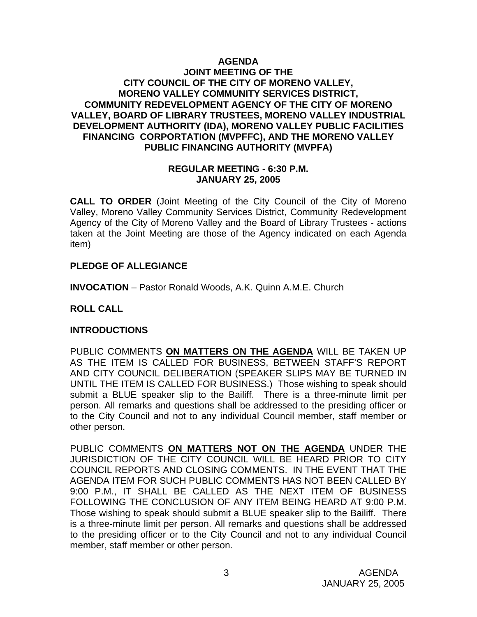### **AGENDA JOINT MEETING OF THE CITY COUNCIL OF THE CITY OF MORENO VALLEY, MORENO VALLEY COMMUNITY SERVICES DISTRICT, COMMUNITY REDEVELOPMENT AGENCY OF THE CITY OF MORENO VALLEY, BOARD OF LIBRARY TRUSTEES, MORENO VALLEY INDUSTRIAL DEVELOPMENT AUTHORITY (IDA), MORENO VALLEY PUBLIC FACILITIES FINANCING CORPORTATION (MVPFFC), AND THE MORENO VALLEY PUBLIC FINANCING AUTHORITY (MVPFA)**

#### **REGULAR MEETING - 6:30 P.M. JANUARY 25, 2005**

**CALL TO ORDER** (Joint Meeting of the City Council of the City of Moreno Valley, Moreno Valley Community Services District, Community Redevelopment Agency of the City of Moreno Valley and the Board of Library Trustees - actions taken at the Joint Meeting are those of the Agency indicated on each Agenda item)

## **PLEDGE OF ALLEGIANCE**

**INVOCATION** – Pastor Ronald Woods, A.K. Quinn A.M.E. Church

## **ROLL CALL**

### **INTRODUCTIONS**

PUBLIC COMMENTS **ON MATTERS ON THE AGENDA** WILL BE TAKEN UP AS THE ITEM IS CALLED FOR BUSINESS, BETWEEN STAFF'S REPORT AND CITY COUNCIL DELIBERATION (SPEAKER SLIPS MAY BE TURNED IN UNTIL THE ITEM IS CALLED FOR BUSINESS.) Those wishing to speak should submit a BLUE speaker slip to the Bailiff. There is a three-minute limit per person. All remarks and questions shall be addressed to the presiding officer or to the City Council and not to any individual Council member, staff member or other person.

PUBLIC COMMENTS **ON MATTERS NOT ON THE AGENDA** UNDER THE JURISDICTION OF THE CITY COUNCIL WILL BE HEARD PRIOR TO CITY COUNCIL REPORTS AND CLOSING COMMENTS. IN THE EVENT THAT THE AGENDA ITEM FOR SUCH PUBLIC COMMENTS HAS NOT BEEN CALLED BY 9:00 P.M., IT SHALL BE CALLED AS THE NEXT ITEM OF BUSINESS FOLLOWING THE CONCLUSION OF ANY ITEM BEING HEARD AT 9:00 P.M. Those wishing to speak should submit a BLUE speaker slip to the Bailiff. There is a three-minute limit per person. All remarks and questions shall be addressed to the presiding officer or to the City Council and not to any individual Council member, staff member or other person.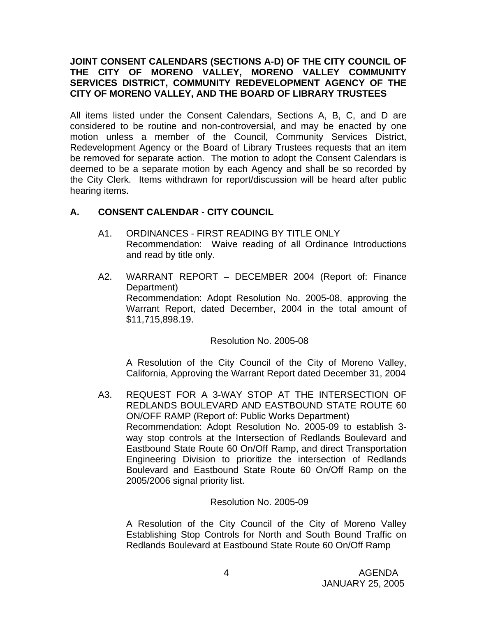### **JOINT CONSENT CALENDARS (SECTIONS A-D) OF THE CITY COUNCIL OF THE CITY OF MORENO VALLEY, MORENO VALLEY COMMUNITY SERVICES DISTRICT, COMMUNITY REDEVELOPMENT AGENCY OF THE CITY OF MORENO VALLEY, AND THE BOARD OF LIBRARY TRUSTEES**

All items listed under the Consent Calendars, Sections A, B, C, and D are considered to be routine and non-controversial, and may be enacted by one motion unless a member of the Council, Community Services District, Redevelopment Agency or the Board of Library Trustees requests that an item be removed for separate action. The motion to adopt the Consent Calendars is deemed to be a separate motion by each Agency and shall be so recorded by the City Clerk. Items withdrawn for report/discussion will be heard after public hearing items.

## **A. CONSENT CALENDAR** - **CITY COUNCIL**

- A1. ORDINANCES FIRST READING BY TITLE ONLY Recommendation: Waive reading of all Ordinance Introductions and read by title only.
- A2. WARRANT REPORT DECEMBER 2004 (Report of: Finance Department) Recommendation: Adopt Resolution No. 2005-08, approving the Warrant Report, dated December, 2004 in the total amount of \$11,715,898.19.

Resolution No. 2005-08

 A Resolution of the City Council of the City of Moreno Valley, California, Approving the Warrant Report dated December 31, 2004

A3. REQUEST FOR A 3-WAY STOP AT THE INTERSECTION OF REDLANDS BOULEVARD AND EASTBOUND STATE ROUTE 60 ON/OFF RAMP (Report of: Public Works Department) Recommendation: Adopt Resolution No. 2005-09 to establish 3 way stop controls at the Intersection of Redlands Boulevard and Eastbound State Route 60 On/Off Ramp, and direct Transportation Engineering Division to prioritize the intersection of Redlands Boulevard and Eastbound State Route 60 On/Off Ramp on the 2005/2006 signal priority list.

### Resolution No. 2005-09

 A Resolution of the City Council of the City of Moreno Valley Establishing Stop Controls for North and South Bound Traffic on Redlands Boulevard at Eastbound State Route 60 On/Off Ramp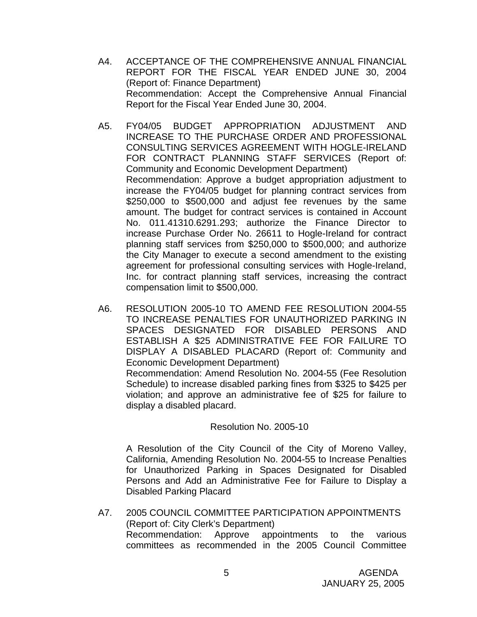- A4. ACCEPTANCE OF THE COMPREHENSIVE ANNUAL FINANCIAL REPORT FOR THE FISCAL YEAR ENDED JUNE 30, 2004 (Report of: Finance Department) Recommendation: Accept the Comprehensive Annual Financial Report for the Fiscal Year Ended June 30, 2004.
- A5. FY04/05 BUDGET APPROPRIATION ADJUSTMENT AND INCREASE TO THE PURCHASE ORDER AND PROFESSIONAL CONSULTING SERVICES AGREEMENT WITH HOGLE-IRELAND FOR CONTRACT PLANNING STAFF SERVICES (Report of: Community and Economic Development Department) Recommendation: Approve a budget appropriation adjustment to increase the FY04/05 budget for planning contract services from \$250,000 to \$500,000 and adjust fee revenues by the same amount. The budget for contract services is contained in Account No. 011.41310.6291.293; authorize the Finance Director to increase Purchase Order No. 26611 to Hogle-Ireland for contract planning staff services from \$250,000 to \$500,000; and authorize the City Manager to execute a second amendment to the existing agreement for professional consulting services with Hogle-Ireland, Inc. for contract planning staff services, increasing the contract compensation limit to \$500,000.
- A6. RESOLUTION 2005-10 TO AMEND FEE RESOLUTION 2004-55 TO INCREASE PENALTIES FOR UNAUTHORIZED PARKING IN SPACES DESIGNATED FOR DISABLED PERSONS AND ESTABLISH A \$25 ADMINISTRATIVE FEE FOR FAILURE TO DISPLAY A DISABLED PLACARD (Report of: Community and Economic Development Department) Recommendation: Amend Resolution No. 2004-55 (Fee Resolution Schedule) to increase disabled parking fines from \$325 to \$425 per violation; and approve an administrative fee of \$25 for failure to display a disabled placard.

#### Resolution No. 2005-10

A Resolution of the City Council of the City of Moreno Valley, California, Amending Resolution No. 2004-55 to Increase Penalties for Unauthorized Parking in Spaces Designated for Disabled Persons and Add an Administrative Fee for Failure to Display a Disabled Parking Placard

A7. 2005 COUNCIL COMMITTEE PARTICIPATION APPOINTMENTS (Report of: City Clerk's Department) Recommendation: Approve appointments to the various committees as recommended in the 2005 Council Committee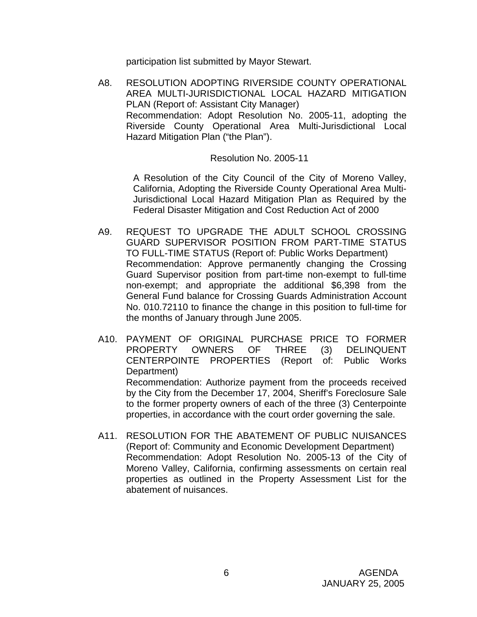participation list submitted by Mayor Stewart.

 A8. RESOLUTION ADOPTING RIVERSIDE COUNTY OPERATIONAL AREA MULTI-JURISDICTIONAL LOCAL HAZARD MITIGATION PLAN (Report of: Assistant City Manager) Recommendation: Adopt Resolution No. 2005-11, adopting the Riverside County Operational Area Multi-Jurisdictional Local Hazard Mitigation Plan ("the Plan").

#### Resolution No. 2005-11

A Resolution of the City Council of the City of Moreno Valley, California, Adopting the Riverside County Operational Area Multi-Jurisdictional Local Hazard Mitigation Plan as Required by the Federal Disaster Mitigation and Cost Reduction Act of 2000

- A9. REQUEST TO UPGRADE THE ADULT SCHOOL CROSSING GUARD SUPERVISOR POSITION FROM PART-TIME STATUS TO FULL-TIME STATUS (Report of: Public Works Department) Recommendation: Approve permanently changing the Crossing Guard Supervisor position from part-time non-exempt to full-time non-exempt; and appropriate the additional \$6,398 from the General Fund balance for Crossing Guards Administration Account No. 010.72110 to finance the change in this position to full-time for the months of January through June 2005.
- A10. PAYMENT OF ORIGINAL PURCHASE PRICE TO FORMER PROPERTY OWNERS OF THREE (3) DELINQUENT CENTERPOINTE PROPERTIES (Report of: Public Works Department) Recommendation: Authorize payment from the proceeds received by the City from the December 17, 2004, Sheriff's Foreclosure Sale to the former property owners of each of the three (3) Centerpointe

properties, in accordance with the court order governing the sale.

A11. RESOLUTION FOR THE ABATEMENT OF PUBLIC NUISANCES (Report of: Community and Economic Development Department) Recommendation: Adopt Resolution No. 2005-13 of the City of Moreno Valley, California, confirming assessments on certain real properties as outlined in the Property Assessment List for the abatement of nuisances.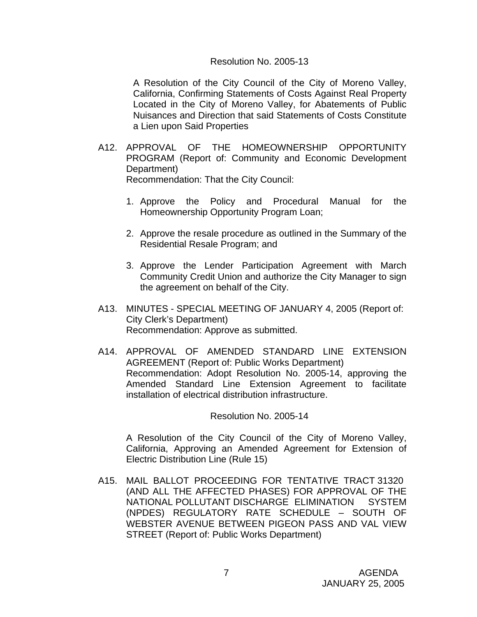#### Resolution No. 2005-13

A Resolution of the City Council of the City of Moreno Valley, California, Confirming Statements of Costs Against Real Property Located in the City of Moreno Valley, for Abatements of Public Nuisances and Direction that said Statements of Costs Constitute a Lien upon Said Properties

A12. APPROVAL OF THE HOMEOWNERSHIP OPPORTUNITY PROGRAM (Report of: Community and Economic Development Department)

Recommendation: That the City Council:

- 1. Approve the Policy and Procedural Manual for the Homeownership Opportunity Program Loan;
- 2. Approve the resale procedure as outlined in the Summary of the Residential Resale Program; and
- 3. Approve the Lender Participation Agreement with March Community Credit Union and authorize the City Manager to sign the agreement on behalf of the City.
- A13. MINUTES SPECIAL MEETING OF JANUARY 4, 2005 (Report of: City Clerk's Department) Recommendation: Approve as submitted.
- A14. APPROVAL OF AMENDED STANDARD LINE EXTENSION AGREEMENT (Report of: Public Works Department) Recommendation: Adopt Resolution No. 2005-14, approving the Amended Standard Line Extension Agreement to facilitate installation of electrical distribution infrastructure.

Resolution No. 2005-14

 A Resolution of the City Council of the City of Moreno Valley, California, Approving an Amended Agreement for Extension of Electric Distribution Line (Rule 15)

 A15. MAIL BALLOT PROCEEDING FOR TENTATIVE TRACT 31320 (AND ALL THE AFFECTED PHASES) FOR APPROVAL OF THE NATIONAL POLLUTANT DISCHARGE ELIMINATION SYSTEM (NPDES) REGULATORY RATE SCHEDULE – SOUTH OF WEBSTER AVENUE BETWEEN PIGEON PASS AND VAL VIEW STREET (Report of: Public Works Department)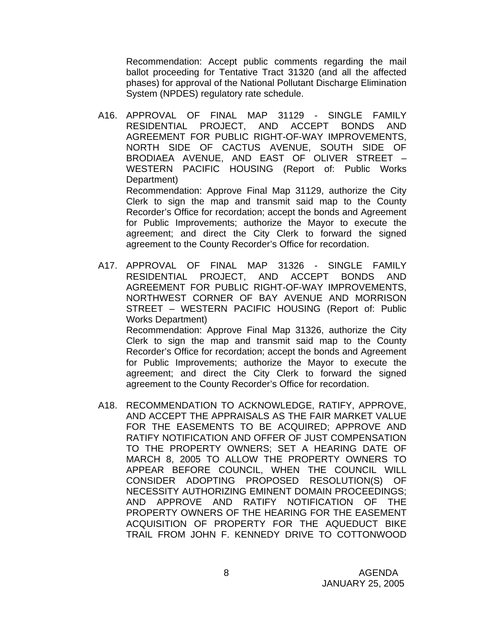Recommendation: Accept public comments regarding the mail ballot proceeding for Tentative Tract 31320 (and all the affected phases) for approval of the National Pollutant Discharge Elimination System (NPDES) regulatory rate schedule.

A16. APPROVAL OF FINAL MAP 31129 - SINGLE FAMILY RESIDENTIAL PROJECT, AND ACCEPT BONDS AND AGREEMENT FOR PUBLIC RIGHT-OF-WAY IMPROVEMENTS, NORTH SIDE OF CACTUS AVENUE, SOUTH SIDE OF BRODIAEA AVENUE, AND EAST OF OLIVER STREET – WESTERN PACIFIC HOUSING (Report of: Public Works Department) Recommendation: Approve Final Map 31129, authorize the City Clerk to sign the map and transmit said map to the County

Recorder's Office for recordation; accept the bonds and Agreement for Public Improvements; authorize the Mayor to execute the agreement; and direct the City Clerk to forward the signed agreement to the County Recorder's Office for recordation.

A17. APPROVAL OF FINAL MAP 31326 - SINGLE FAMILY RESIDENTIAL PROJECT, AND ACCEPT BONDS AND AGREEMENT FOR PUBLIC RIGHT-OF-WAY IMPROVEMENTS, NORTHWEST CORNER OF BAY AVENUE AND MORRISON STREET – WESTERN PACIFIC HOUSING (Report of: Public Works Department) Recommendation: Approve Final Map 31326, authorize the City Clerk to sign the map and transmit said map to the County Recorder's Office for recordation; accept the bonds and Agreement for Public Improvements; authorize the Mayor to execute the agreement; and direct the City Clerk to forward the signed

agreement to the County Recorder's Office for recordation.

A18. RECOMMENDATION TO ACKNOWLEDGE, RATIFY, APPROVE, AND ACCEPT THE APPRAISALS AS THE FAIR MARKET VALUE FOR THE EASEMENTS TO BE ACQUIRED; APPROVE AND RATIFY NOTIFICATION AND OFFER OF JUST COMPENSATION TO THE PROPERTY OWNERS; SET A HEARING DATE OF MARCH 8, 2005 TO ALLOW THE PROPERTY OWNERS TO APPEAR BEFORE COUNCIL, WHEN THE COUNCIL WILL CONSIDER ADOPTING PROPOSED RESOLUTION(S) OF NECESSITY AUTHORIZING EMINENT DOMAIN PROCEEDINGS; AND APPROVE AND RATIFY NOTIFICATION OF THE PROPERTY OWNERS OF THE HEARING FOR THE EASEMENT ACQUISITION OF PROPERTY FOR THE AQUEDUCT BIKE TRAIL FROM JOHN F. KENNEDY DRIVE TO COTTONWOOD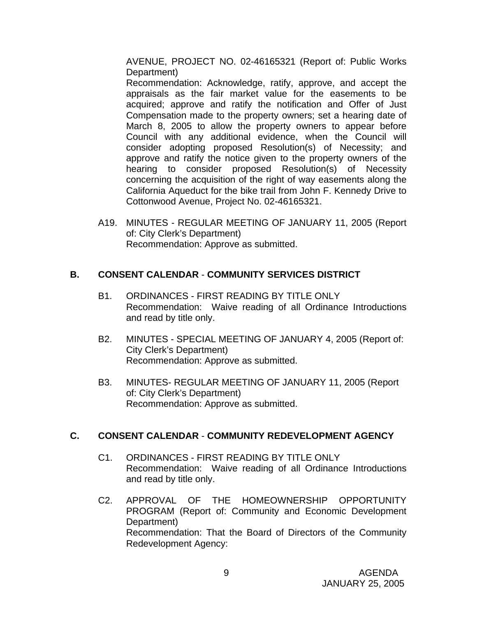AVENUE, PROJECT NO. 02-46165321 (Report of: Public Works Department)

 Recommendation: Acknowledge, ratify, approve, and accept the appraisals as the fair market value for the easements to be acquired; approve and ratify the notification and Offer of Just Compensation made to the property owners; set a hearing date of March 8, 2005 to allow the property owners to appear before Council with any additional evidence, when the Council will consider adopting proposed Resolution(s) of Necessity; and approve and ratify the notice given to the property owners of the hearing to consider proposed Resolution(s) of Necessity concerning the acquisition of the right of way easements along the California Aqueduct for the bike trail from John F. Kennedy Drive to Cottonwood Avenue, Project No. 02-46165321.

 A19. MINUTES - REGULAR MEETING OF JANUARY 11, 2005 (Report of: City Clerk's Department) Recommendation: Approve as submitted.

## **B. CONSENT CALENDAR** - **COMMUNITY SERVICES DISTRICT**

- B1. ORDINANCES FIRST READING BY TITLE ONLY Recommendation: Waive reading of all Ordinance Introductions and read by title only.
- B2. MINUTES SPECIAL MEETING OF JANUARY 4, 2005 (Report of: City Clerk's Department) Recommendation: Approve as submitted.
- B3. MINUTES- REGULAR MEETING OF JANUARY 11, 2005 (Report of: City Clerk's Department) Recommendation: Approve as submitted.

## **C. CONSENT CALENDAR** - **COMMUNITY REDEVELOPMENT AGENCY**

- C1. ORDINANCES FIRST READING BY TITLE ONLY Recommendation: Waive reading of all Ordinance Introductions and read by title only.
- C2. APPROVAL OF THE HOMEOWNERSHIP OPPORTUNITY PROGRAM (Report of: Community and Economic Development Department) Recommendation: That the Board of Directors of the Community Redevelopment Agency: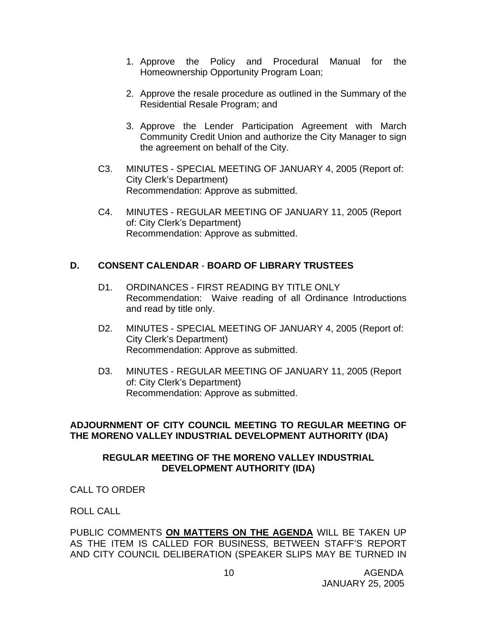- 1. Approve the Policy and Procedural Manual for the Homeownership Opportunity Program Loan;
- 2. Approve the resale procedure as outlined in the Summary of the Residential Resale Program; and
- 3. Approve the Lender Participation Agreement with March Community Credit Union and authorize the City Manager to sign the agreement on behalf of the City.
- C3. MINUTES SPECIAL MEETING OF JANUARY 4, 2005 (Report of: City Clerk's Department) Recommendation: Approve as submitted.
- C4. MINUTES REGULAR MEETING OF JANUARY 11, 2005 (Report of: City Clerk's Department) Recommendation: Approve as submitted.

## **D. CONSENT CALENDAR** - **BOARD OF LIBRARY TRUSTEES**

- D1. ORDINANCES FIRST READING BY TITLE ONLY Recommendation: Waive reading of all Ordinance Introductions and read by title only.
- D2. MINUTES SPECIAL MEETING OF JANUARY 4, 2005 (Report of: City Clerk's Department) Recommendation: Approve as submitted.
- D3. MINUTES REGULAR MEETING OF JANUARY 11, 2005 (Report of: City Clerk's Department) Recommendation: Approve as submitted.

## **ADJOURNMENT OF CITY COUNCIL MEETING TO REGULAR MEETING OF THE MORENO VALLEY INDUSTRIAL DEVELOPMENT AUTHORITY (IDA)**

## **REGULAR MEETING OF THE MORENO VALLEY INDUSTRIAL DEVELOPMENT AUTHORITY (IDA)**

CALL TO ORDER

ROLL CALL

PUBLIC COMMENTS **ON MATTERS ON THE AGENDA** WILL BE TAKEN UP AS THE ITEM IS CALLED FOR BUSINESS, BETWEEN STAFF'S REPORT AND CITY COUNCIL DELIBERATION (SPEAKER SLIPS MAY BE TURNED IN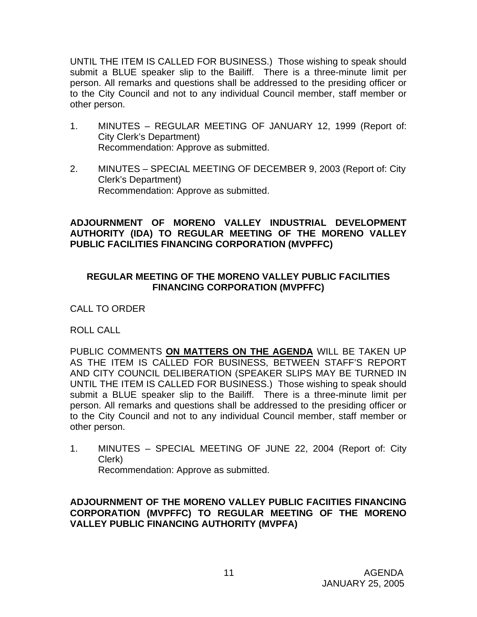UNTIL THE ITEM IS CALLED FOR BUSINESS.) Those wishing to speak should submit a BLUE speaker slip to the Bailiff. There is a three-minute limit per person. All remarks and questions shall be addressed to the presiding officer or to the City Council and not to any individual Council member, staff member or other person.

- 1. MINUTES REGULAR MEETING OF JANUARY 12, 1999 (Report of: City Clerk's Department) Recommendation: Approve as submitted.
- 2. MINUTES SPECIAL MEETING OF DECEMBER 9, 2003 (Report of: City Clerk's Department) Recommendation: Approve as submitted.

## **ADJOURNMENT OF MORENO VALLEY INDUSTRIAL DEVELOPMENT AUTHORITY (IDA) TO REGULAR MEETING OF THE MORENO VALLEY PUBLIC FACILITIES FINANCING CORPORATION (MVPFFC)**

## **REGULAR MEETING OF THE MORENO VALLEY PUBLIC FACILITIES FINANCING CORPORATION (MVPFFC)**

CALL TO ORDER

ROLL CALL

PUBLIC COMMENTS **ON MATTERS ON THE AGENDA** WILL BE TAKEN UP AS THE ITEM IS CALLED FOR BUSINESS, BETWEEN STAFF'S REPORT AND CITY COUNCIL DELIBERATION (SPEAKER SLIPS MAY BE TURNED IN UNTIL THE ITEM IS CALLED FOR BUSINESS.) Those wishing to speak should submit a BLUE speaker slip to the Bailiff. There is a three-minute limit per person. All remarks and questions shall be addressed to the presiding officer or to the City Council and not to any individual Council member, staff member or other person.

1. MINUTES – SPECIAL MEETING OF JUNE 22, 2004 (Report of: City Clerk) Recommendation: Approve as submitted.

**ADJOURNMENT OF THE MORENO VALLEY PUBLIC FACIITIES FINANCING CORPORATION (MVPFFC) TO REGULAR MEETING OF THE MORENO VALLEY PUBLIC FINANCING AUTHORITY (MVPFA)**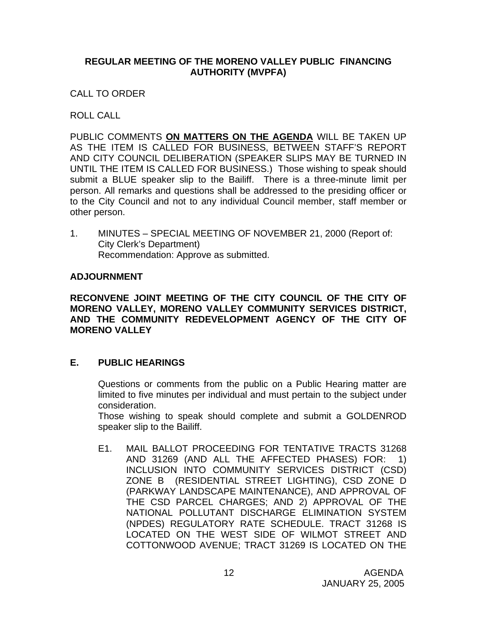### **REGULAR MEETING OF THE MORENO VALLEY PUBLIC FINANCING AUTHORITY (MVPFA)**

CALL TO ORDER

ROLL CALL

PUBLIC COMMENTS **ON MATTERS ON THE AGENDA** WILL BE TAKEN UP AS THE ITEM IS CALLED FOR BUSINESS, BETWEEN STAFF'S REPORT AND CITY COUNCIL DELIBERATION (SPEAKER SLIPS MAY BE TURNED IN UNTIL THE ITEM IS CALLED FOR BUSINESS.) Those wishing to speak should submit a BLUE speaker slip to the Bailiff. There is a three-minute limit per person. All remarks and questions shall be addressed to the presiding officer or to the City Council and not to any individual Council member, staff member or other person.

1. MINUTES – SPECIAL MEETING OF NOVEMBER 21, 2000 (Report of: City Clerk's Department) Recommendation: Approve as submitted.

## **ADJOURNMENT**

**RECONVENE JOINT MEETING OF THE CITY COUNCIL OF THE CITY OF MORENO VALLEY, MORENO VALLEY COMMUNITY SERVICES DISTRICT, AND THE COMMUNITY REDEVELOPMENT AGENCY OF THE CITY OF MORENO VALLEY** 

## **E. PUBLIC HEARINGS**

Questions or comments from the public on a Public Hearing matter are limited to five minutes per individual and must pertain to the subject under consideration.

 Those wishing to speak should complete and submit a GOLDENROD speaker slip to the Bailiff.

E1. MAIL BALLOT PROCEEDING FOR TENTATIVE TRACTS 31268 AND 31269 (AND ALL THE AFFECTED PHASES) FOR: 1) INCLUSION INTO COMMUNITY SERVICES DISTRICT (CSD) ZONE B (RESIDENTIAL STREET LIGHTING), CSD ZONE D (PARKWAY LANDSCAPE MAINTENANCE), AND APPROVAL OF THE CSD PARCEL CHARGES; AND 2) APPROVAL OF THE NATIONAL POLLUTANT DISCHARGE ELIMINATION SYSTEM (NPDES) REGULATORY RATE SCHEDULE. TRACT 31268 IS LOCATED ON THE WEST SIDE OF WILMOT STREET AND COTTONWOOD AVENUE; TRACT 31269 IS LOCATED ON THE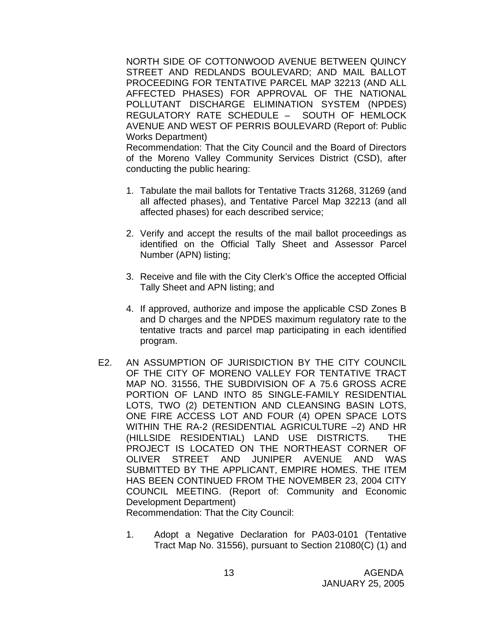NORTH SIDE OF COTTONWOOD AVENUE BETWEEN QUINCY STREET AND REDLANDS BOULEVARD; AND MAIL BALLOT PROCEEDING FOR TENTATIVE PARCEL MAP 32213 (AND ALL AFFECTED PHASES) FOR APPROVAL OF THE NATIONAL POLLUTANT DISCHARGE ELIMINATION SYSTEM (NPDES) REGULATORY RATE SCHEDULE – SOUTH OF HEMLOCK AVENUE AND WEST OF PERRIS BOULEVARD (Report of: Public Works Department)

 Recommendation: That the City Council and the Board of Directors of the Moreno Valley Community Services District (CSD), after conducting the public hearing:

- 1. Tabulate the mail ballots for Tentative Tracts 31268, 31269 (and all affected phases), and Tentative Parcel Map 32213 (and all affected phases) for each described service;
- 2. Verify and accept the results of the mail ballot proceedings as identified on the Official Tally Sheet and Assessor Parcel Number (APN) listing;
- 3. Receive and file with the City Clerk's Office the accepted Official Tally Sheet and APN listing; and
- 4. If approved, authorize and impose the applicable CSD Zones B and D charges and the NPDES maximum regulatory rate to the tentative tracts and parcel map participating in each identified program.
- E2. AN ASSUMPTION OF JURISDICTION BY THE CITY COUNCIL OF THE CITY OF MORENO VALLEY FOR TENTATIVE TRACT MAP NO. 31556, THE SUBDIVISION OF A 75.6 GROSS ACRE PORTION OF LAND INTO 85 SINGLE-FAMILY RESIDENTIAL LOTS, TWO (2) DETENTION AND CLEANSING BASIN LOTS, ONE FIRE ACCESS LOT AND FOUR (4) OPEN SPACE LOTS WITHIN THE RA-2 (RESIDENTIAL AGRICULTURE –2) AND HR (HILLSIDE RESIDENTIAL) LAND USE DISTRICTS. THE PROJECT IS LOCATED ON THE NORTHEAST CORNER OF OLIVER STREET AND JUNIPER AVENUE AND WAS SUBMITTED BY THE APPLICANT, EMPIRE HOMES. THE ITEM HAS BEEN CONTINUED FROM THE NOVEMBER 23, 2004 CITY COUNCIL MEETING. (Report of: Community and Economic Development Department)

Recommendation: That the City Council:

1. Adopt a Negative Declaration for PA03-0101 (Tentative Tract Map No. 31556), pursuant to Section 21080(C) (1) and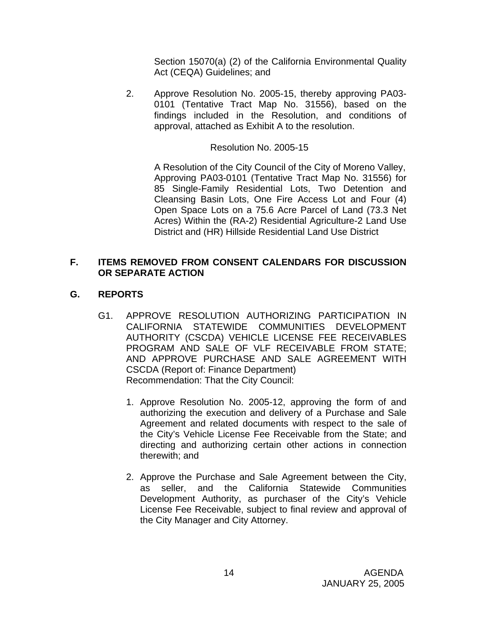Section 15070(a) (2) of the California Environmental Quality Act (CEQA) Guidelines; and

2. Approve Resolution No. 2005-15, thereby approving PA03- 0101 (Tentative Tract Map No. 31556), based on the findings included in the Resolution, and conditions of approval, attached as Exhibit A to the resolution.

## Resolution No. 2005-15

 A Resolution of the City Council of the City of Moreno Valley, Approving PA03-0101 (Tentative Tract Map No. 31556) for 85 Single-Family Residential Lots, Two Detention and Cleansing Basin Lots, One Fire Access Lot and Four (4) Open Space Lots on a 75.6 Acre Parcel of Land (73.3 Net Acres) Within the (RA-2) Residential Agriculture-2 Land Use District and (HR) Hillside Residential Land Use District

## **F. ITEMS REMOVED FROM CONSENT CALENDARS FOR DISCUSSION OR SEPARATE ACTION**

## **G. REPORTS**

- G1. APPROVE RESOLUTION AUTHORIZING PARTICIPATION IN CALIFORNIA STATEWIDE COMMUNITIES DEVELOPMENT AUTHORITY (CSCDA) VEHICLE LICENSE FEE RECEIVABLES PROGRAM AND SALE OF VLF RECEIVABLE FROM STATE; AND APPROVE PURCHASE AND SALE AGREEMENT WITH CSCDA (Report of: Finance Department) Recommendation: That the City Council:
	- 1. Approve Resolution No. 2005-12, approving the form of and authorizing the execution and delivery of a Purchase and Sale Agreement and related documents with respect to the sale of the City's Vehicle License Fee Receivable from the State; and directing and authorizing certain other actions in connection therewith; and
	- 2. Approve the Purchase and Sale Agreement between the City, as seller, and the California Statewide Communities Development Authority, as purchaser of the City's Vehicle License Fee Receivable, subject to final review and approval of the City Manager and City Attorney.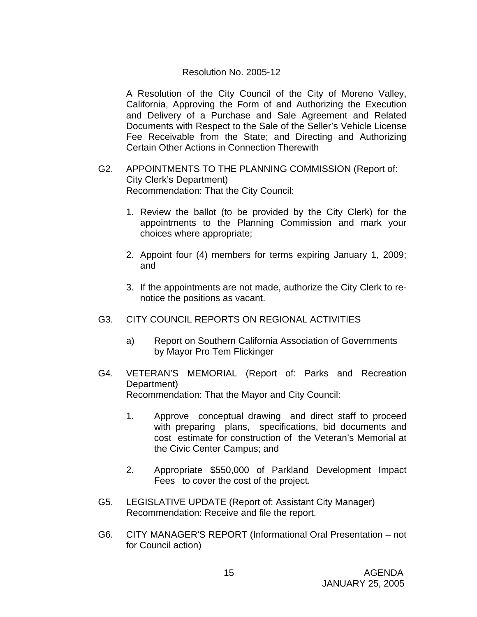### Resolution No. 2005-12

A Resolution of the City Council of the City of Moreno Valley, California, Approving the Form of and Authorizing the Execution and Delivery of a Purchase and Sale Agreement and Related Documents with Respect to the Sale of the Seller's Vehicle License Fee Receivable from the State; and Directing and Authorizing Certain Other Actions in Connection Therewith

- G2. APPOINTMENTS TO THE PLANNING COMMISSION (Report of: City Clerk's Department) Recommendation: That the City Council:
	- 1. Review the ballot (to be provided by the City Clerk) for the appointments to the Planning Commission and mark your choices where appropriate;
	- 2. Appoint four (4) members for terms expiring January 1, 2009; and
	- 3. If the appointments are not made, authorize the City Clerk to renotice the positions as vacant.
- G3. CITY COUNCIL REPORTS ON REGIONAL ACTIVITIES
	- a) Report on Southern California Association of Governments by Mayor Pro Tem Flickinger
- G4. VETERAN'S MEMORIAL (Report of: Parks and Recreation Department) Recommendation: That the Mayor and City Council:
	- 1. Approve conceptual drawing and direct staff to proceed with preparing plans, specifications, bid documents and cost estimate for construction of the Veteran's Memorial at the Civic Center Campus; and
	- 2. Appropriate \$550,000 of Parkland Development Impact Fees to cover the cost of the project.
- G5. LEGISLATIVE UPDATE (Report of: Assistant City Manager) Recommendation: Receive and file the report.
- G6. CITY MANAGER'S REPORT (Informational Oral Presentation not for Council action)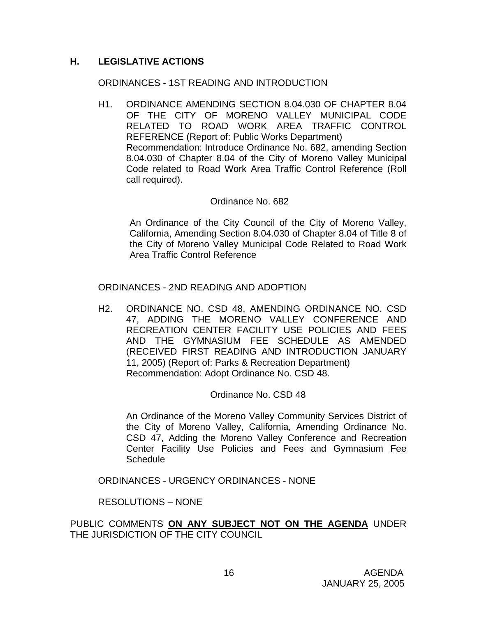## **H. LEGISLATIVE ACTIONS**

#### ORDINANCES - 1ST READING AND INTRODUCTION

H1. ORDINANCE AMENDING SECTION 8.04.030 OF CHAPTER 8.04 OF THE CITY OF MORENO VALLEY MUNICIPAL CODE RELATED TO ROAD WORK AREA TRAFFIC CONTROL REFERENCE (Report of: Public Works Department) Recommendation: Introduce Ordinance No. 682, amending Section 8.04.030 of Chapter 8.04 of the City of Moreno Valley Municipal Code related to Road Work Area Traffic Control Reference (Roll call required).

#### Ordinance No. 682

 An Ordinance of the City Council of the City of Moreno Valley, California, Amending Section 8.04.030 of Chapter 8.04 of Title 8 of the City of Moreno Valley Municipal Code Related to Road Work Area Traffic Control Reference

#### ORDINANCES - 2ND READING AND ADOPTION

H2. ORDINANCE NO. CSD 48, AMENDING ORDINANCE NO. CSD 47, ADDING THE MORENO VALLEY CONFERENCE AND RECREATION CENTER FACILITY USE POLICIES AND FEES AND THE GYMNASIUM FEE SCHEDULE AS AMENDED (RECEIVED FIRST READING AND INTRODUCTION JANUARY 11, 2005) (Report of: Parks & Recreation Department) Recommendation: Adopt Ordinance No. CSD 48.

#### Ordinance No. CSD 48

 An Ordinance of the Moreno Valley Community Services District of the City of Moreno Valley, California, Amending Ordinance No. CSD 47, Adding the Moreno Valley Conference and Recreation Center Facility Use Policies and Fees and Gymnasium Fee **Schedule** 

ORDINANCES - URGENCY ORDINANCES - NONE

RESOLUTIONS – NONE

PUBLIC COMMENTS **ON ANY SUBJECT NOT ON THE AGENDA** UNDER THE JURISDICTION OF THE CITY COUNCIL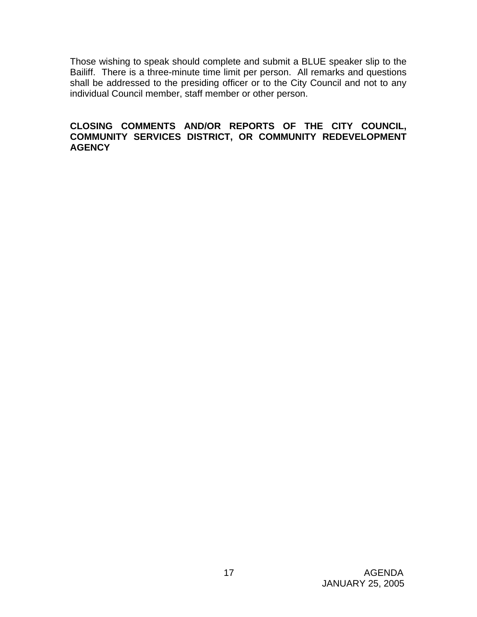Those wishing to speak should complete and submit a BLUE speaker slip to the Bailiff. There is a three-minute time limit per person. All remarks and questions shall be addressed to the presiding officer or to the City Council and not to any individual Council member, staff member or other person.

## **CLOSING COMMENTS AND/OR REPORTS OF THE CITY COUNCIL, COMMUNITY SERVICES DISTRICT, OR COMMUNITY REDEVELOPMENT AGENCY**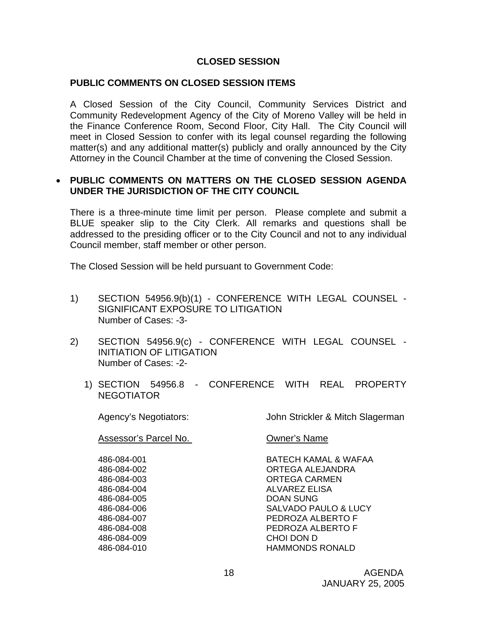### **CLOSED SESSION**

#### **PUBLIC COMMENTS ON CLOSED SESSION ITEMS**

A Closed Session of the City Council, Community Services District and Community Redevelopment Agency of the City of Moreno Valley will be held in the Finance Conference Room, Second Floor, City Hall. The City Council will meet in Closed Session to confer with its legal counsel regarding the following matter(s) and any additional matter(s) publicly and orally announced by the City Attorney in the Council Chamber at the time of convening the Closed Session.

### • **PUBLIC COMMENTS ON MATTERS ON THE CLOSED SESSION AGENDA UNDER THE JURISDICTION OF THE CITY COUNCIL**

There is a three-minute time limit per person. Please complete and submit a BLUE speaker slip to the City Clerk. All remarks and questions shall be addressed to the presiding officer or to the City Council and not to any individual Council member, staff member or other person.

The Closed Session will be held pursuant to Government Code:

- 1) SECTION 54956.9(b)(1) CONFERENCE WITH LEGAL COUNSEL SIGNIFICANT EXPOSURE TO LITIGATION Number of Cases: -3-
- 2) SECTION 54956.9(c) CONFERENCE WITH LEGAL COUNSEL INITIATION OF LITIGATION Number of Cases: -2-
	- 1) SECTION 54956.8 CONFERENCE WITH REAL PROPERTY NEGOTIATOR

Agency's Negotiators: John Strickler & Mitch Slagerman

Assessor's Parcel No. Owner's Name

 486-084-005 DOAN SUNG 486-084-009 CHOI DON D

486-084-001 BATECH KAMAL & WAFAA 486-084-002 ORTEGA ALEJANDRA 486-084-003 ORTEGA CARMEN 486-084-004 ALVAREZ ELISA 486-084-006 SALVADO PAULO & LUCY 486-084-007 PEDROZA ALBERTO F 486-084-008 PEDROZA ALBERTO F 486-084-010 HAMMONDS RONALD